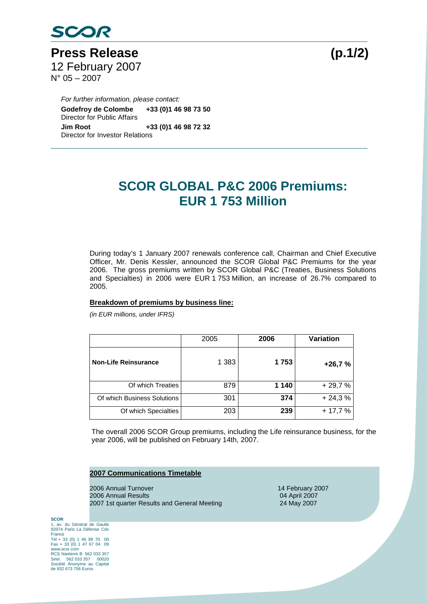

Press Release (p.1/2) 12 February 2007  $N^{\circ}$  05 – 2007

*For further information, please contact:*  **Godefroy de Colombe +33 (0)1 46 98 73 50**  Director for Public Affairs **Jim Root +33 (0)1 46 98 72 32**  Director for Investor Relations

## **SCOR GLOBAL P&C 2006 Premiums: EUR 1 753 Million**

During today's 1 January 2007 renewals conference call, Chairman and Chief Executive Officer, Mr. Denis Kessler, announced the SCOR Global P&C Premiums for the year 2006. The gross premiums written by SCOR Global P&C (Treaties, Business Solutions and Specialties) in 2006 were EUR 1 753 Million, an increase of 26.7% compared to 2005.

## **Breakdown of premiums by business line:**

*(in EUR millions, under IFRS)* 

|                             | 2005    | 2006  | <b>Variation</b> |
|-----------------------------|---------|-------|------------------|
| <b>Non-Life Reinsurance</b> | 1 3 8 3 | 1753  | $+26,7%$         |
| Of which Treaties           | 879     | 1 140 | $+29,7%$         |
| Of which Business Solutions | 301     | 374   | $+24,3%$         |
| Of which Specialties        | 203     | 239   | $+17,7%$         |

The overall 2006 SCOR Group premiums, including the Life reinsurance business, for the year 2006, will be published on February 14th, 2007.

## **2007 Communications Timetable**

2006 Annual Turnover 14 February 2007 2006 Annual Results 04 April 2007 2007 1st quarter Results and General Meeting 24 May 2007

**SCOR**  1, av. du Général de Gaulle 92074 Paris La Défense Cdx France Tél + 33 (0) 1 46 98 70 00 Fax + 33 (0) 1 47 67 04 09 www.scor.com RCS Nanterre B 562 033 357 Siret 562 033 357 00020 Société Anonyme au Capital de 932 673 756 Euros